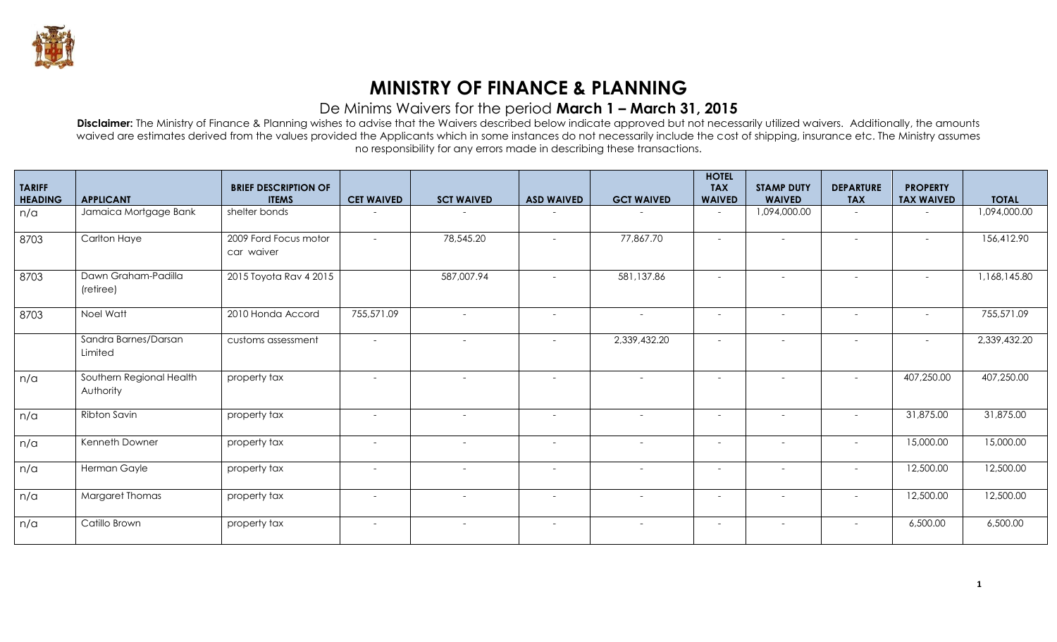

## **MINISTRY OF FINANCE & PLANNING**

## De Minims Waivers for the period **March 1 – March 31, 2015**

**Disclaimer:** The Ministry of Finance & Planning wishes to advise that the Waivers described below indicate approved but not necessarily utilized waivers. Additionally, the amounts waived are estimates derived from the values provided the Applicants which in some instances do not necessarily include the cost of shipping, insurance etc. The Ministry assumes no responsibility for any errors made in describing these transactions.

| <b>TARIFF</b><br><b>HEADING</b> | <b>APPLICANT</b>                      | <b>BRIEF DESCRIPTION OF</b><br><b>ITEMS</b> | <b>CET WAIVED</b>        | <b>SCT WAIVED</b>        | <b>ASD WAIVED</b>        | <b>GCT WAIVED</b>        | <b>HOTEL</b><br><b>TAX</b><br><b>WAIVED</b> | <b>STAMP DUTY</b><br><b>WAIVED</b> | <b>DEPARTURE</b><br><b>TAX</b> | <b>PROPERTY</b><br><b>TAX WAIVED</b> | <b>TOTAL</b> |
|---------------------------------|---------------------------------------|---------------------------------------------|--------------------------|--------------------------|--------------------------|--------------------------|---------------------------------------------|------------------------------------|--------------------------------|--------------------------------------|--------------|
| n/a                             | Jamaica Mortgage Bank                 | shelter bonds                               |                          |                          |                          |                          | $\overline{\phantom{a}}$                    | 1,094,000.00                       | $\overline{\phantom{0}}$       |                                      | 1,094,000.00 |
| 8703                            | <b>Carlton Haye</b>                   | 2009 Ford Focus motor<br>car waiver         | $\sim$                   | 78,545.20                | $\sim$                   | 77,867.70                | $\overline{\phantom{a}}$                    | $\overline{\phantom{a}}$           | $\overline{\phantom{a}}$       | $\sim$                               | 156,412.90   |
| 8703                            | Dawn Graham-Padilla<br>(retiree)      | 2015 Toyota Rav 4 2015                      |                          | 587,007.94               |                          | 581,137.86               |                                             |                                    |                                |                                      | 1,168,145.80 |
| 8703                            | Noel Watt                             | 2010 Honda Accord                           | 755,571.09               | $\sim$                   | $\overline{\phantom{a}}$ | $\sim$                   | $\overline{\phantom{a}}$                    | $\overline{\phantom{0}}$           | $\overline{\phantom{a}}$       | $\overline{\phantom{a}}$             | 755,571.09   |
|                                 | Sandra Barnes/Darsan<br>Limited       | customs assessment                          | $\sim$                   | $\sim$                   | $\sim$                   | 2,339,432.20             | $\overline{\phantom{a}}$                    |                                    | $\overline{\phantom{a}}$       | $\sim$                               | 2,339,432.20 |
| n/a                             | Southern Regional Health<br>Authority | property tax                                | $\sim$                   | $\sim$                   | $\sim$                   | $\overline{a}$           | $\overline{\phantom{a}}$                    |                                    |                                | 407,250.00                           | 407,250.00   |
| n/a                             | Ribton Savin                          | property tax                                | $\sim$                   | $\sim$                   | $\sim$                   | $\overline{a}$           | $\overline{\phantom{a}}$                    |                                    |                                | 31,875.00                            | 31,875.00    |
| n/a                             | Kenneth Downer                        | property tax                                | $\overline{\phantom{a}}$ | $\overline{\phantom{a}}$ | $\overline{\phantom{a}}$ | $\overline{a}$           | $\overline{\phantom{a}}$                    | $\overline{\phantom{a}}$           | $\overline{\phantom{a}}$       | 15,000.00                            | 15,000.00    |
| n/a                             | Herman Gayle                          | property tax                                | $\sim$                   | $\sim$                   | $\overline{\phantom{a}}$ | $\overline{\phantom{a}}$ | $\overline{\phantom{a}}$                    | $\overline{\phantom{a}}$           | $\overline{\phantom{a}}$       | 12,500.00                            | 12,500.00    |
| n/a                             | <b>Margaret Thomas</b>                | property tax                                | $\sim$                   | $\overline{\phantom{a}}$ | $\overline{\phantom{a}}$ |                          | $\overline{\phantom{a}}$                    |                                    |                                | 12,500.00                            | 12,500.00    |
| n/a                             | Catillo Brown                         | property tax                                | $\sim$                   | $\sim$                   | $\overline{\phantom{a}}$ | $\overline{a}$           | $\overline{\phantom{a}}$                    | $\overline{\phantom{a}}$           | $\overline{\phantom{a}}$       | 6,500.00                             | 6,500.00     |